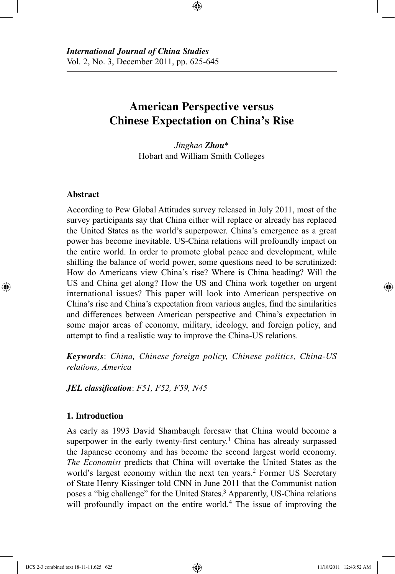# **American Perspective versus Chinese Expectation on China's Rise**

⊕

*Jinghao Zhou*\* Hobart and William Smith Colleges

# **Abstract**

⊕

According to Pew Global Attitudes survey released in July 2011, most of the survey participants say that China either will replace or already has replaced the United States as the world's superpower. China's emergence as a great power has become inevitable. US-China relations will profoundly impact on the entire world. In order to promote global peace and development, while shifting the balance of world power, some questions need to be scrutinized: How do Americans view China's rise? Where is China heading? Will the US and China get along? How the US and China work together on urgent international issues? This paper will look into American perspective on China's rise and China's expectation from various angles, find the similarities and differences between American perspective and China's expectation in some major areas of economy, military, ideology, and foreign policy, and attempt to find a realistic way to improve the China-US relations.

*Keywords*: *China, Chinese foreign policy, Chinese politics, China-US relations, America*

*JEL classification*: *F51, F52, F59, N45*

# **1. Introduction**

As early as 1993 David Shambaugh foresaw that China would become a superpower in the early twenty-first century.<sup>1</sup> China has already surpassed the Japanese economy and has become the second largest world economy. *The Economist* predicts that China will overtake the United States as the world's largest economy within the next ten years.<sup>2</sup> Former US Secretary of State Henry Kissinger told CNN in June 2011 that the Communist nation poses a "big challenge" for the United States.<sup>3</sup> Apparently, US-China relations will profoundly impact on the entire world.<sup>4</sup> The issue of improving the

IJCS 2-3 combined text 18-11-11.625 625 11/18/2011 12:43:52 AM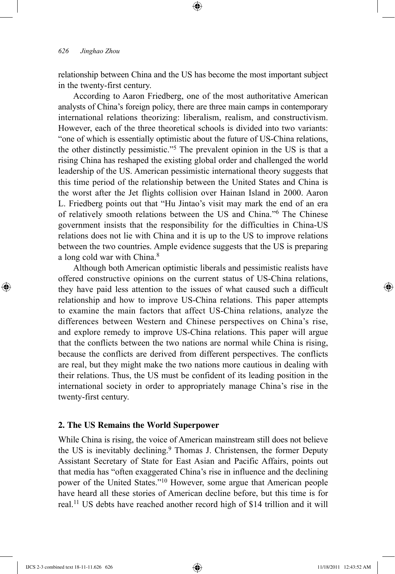relationship between China and the US has become the most important subject in the twenty-first century.

⊕

According to Aaron Friedberg, one of the most authoritative American analysts of China's foreign policy, there are three main camps in contemporary international relations theorizing: liberalism, realism, and constructivism. However, each of the three theoretical schools is divided into two variants: "one of which is essentially optimistic about the future of US-China relations, the other distinctly pessimistic."5 The prevalent opinion in the US is that a rising China has reshaped the existing global order and challenged the world leadership of the US. American pessimistic international theory suggests that this time period of the relationship between the United States and China is the worst after the Jet flights collision over Hainan Island in 2000. Aaron L. Friedberg points out that "Hu Jintao's visit may mark the end of an era of relatively smooth relations between the US and China."6 The Chinese government insists that the responsibility for the difficulties in China-US relations does not lie with China and it is up to the US to improve relations between the two countries. Ample evidence suggests that the US is preparing a long cold war with China.<sup>8</sup>

Although both American optimistic liberals and pessimistic realists have offered constructive opinions on the current status of US-China relations, they have paid less attention to the issues of what caused such a difficult relationship and how to improve US-China relations. This paper attempts to examine the main factors that affect US-China relations, analyze the differences between Western and Chinese perspectives on China's rise, and explore remedy to improve US-China relations. This paper will argue that the conflicts between the two nations are normal while China is rising, because the conflicts are derived from different perspectives. The conflicts are real, but they might make the two nations more cautious in dealing with their relations. Thus, the US must be confident of its leading position in the international society in order to appropriately manage China's rise in the twenty-first century.

## **2. The US Remains the World Superpower**

While China is rising, the voice of American mainstream still does not believe the US is inevitably declining.<sup>9</sup> Thomas J. Christensen, the former Deputy Assistant Secretary of State for East Asian and Pacific Affairs, points out that media has "often exaggerated China's rise in influence and the declining power of the United States."10 However, some argue that American people have heard all these stories of American decline before, but this time is for real.11 US debts have reached another record high of \$14 trillion and it will

⊕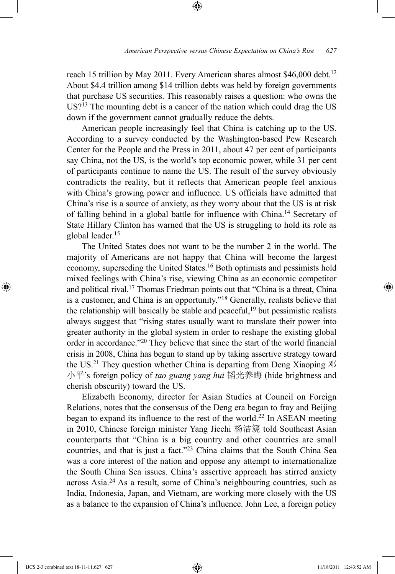reach 15 trillion by May 2011. Every American shares almost \$46,000 debt.<sup>12</sup> About \$4.4 trillion among \$14 trillion debts was held by foreign governments that purchase US securities. This reasonably raises a question: who owns the US?13 The mounting debt is a cancer of the nation which could drag the US down if the government cannot gradually reduce the debts.

⊕

American people increasingly feel that China is catching up to the US. According to a survey conducted by the Washington-based Pew Research Center for the People and the Press in 2011, about 47 per cent of participants say China, not the US, is the world's top economic power, while 31 per cent of participants continue to name the US. The result of the survey obviously contradicts the reality, but it reflects that American people feel anxious with China's growing power and influence. US officials have admitted that China's rise is a source of anxiety, as they worry about that the US is at risk of falling behind in a global battle for influence with China.14 Secretary of State Hillary Clinton has warned that the US is struggling to hold its role as global leader.15

The United States does not want to be the number 2 in the world. The majority of Americans are not happy that China will become the largest economy, superseding the United States.16 Both optimists and pessimists hold mixed feelings with China's rise, viewing China as an economic competitor and political rival.17 Thomas Friedman points out that "China is a threat, China is a customer, and China is an opportunity."18 Generally, realists believe that the relationship will basically be stable and peaceful, $19$  but pessimistic realists always suggest that "rising states usually want to translate their power into greater authority in the global system in order to reshape the existing global order in accordance."20 They believe that since the start of the world financial crisis in 2008, China has begun to stand up by taking assertive strategy toward the US.<sup>21</sup> They question whether China is departing from Deng Xiaoping  $\mathcal{R}$ 小平's foreign policy of *tao guang yang hui* 韬光养晦 (hide brightness and cherish obscurity) toward the US.

Elizabeth Economy, director for Asian Studies at Council on Foreign Relations, notes that the consensus of the Deng era began to fray and Beijing began to expand its influence to the rest of the world.<sup>22</sup> In ASEAN meeting in 2010, Chinese foreign minister Yang Jiechi 杨洁篪 told Southeast Asian counterparts that "China is a big country and other countries are small countries, and that is just a fact."23 China claims that the South China Sea was a core interest of the nation and oppose any attempt to internationalize the South China Sea issues. China's assertive approach has stirred anxiety across Asia.24 As a result, some of China's neighbouring countries, such as India, Indonesia, Japan, and Vietnam, are working more closely with the US as a balance to the expansion of China's influence. John Lee, a foreign policy

⊕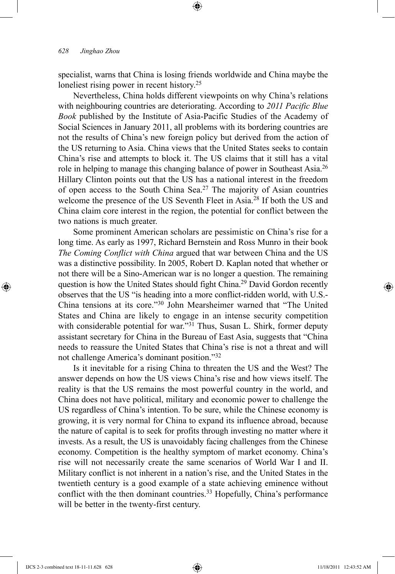specialist, warns that China is losing friends worldwide and China maybe the loneliest rising power in recent history.<sup>25</sup>

⊕

Nevertheless, China holds different viewpoints on why China's relations with neighbouring countries are deteriorating. According to *2011 Pacific Blue Book* published by the Institute of Asia-Pacific Studies of the Academy of Social Sciences in January 2011, all problems with its bordering countries are not the results of China's new foreign policy but derived from the action of the US returning to Asia. China views that the United States seeks to contain China's rise and attempts to block it. The US claims that it still has a vital role in helping to manage this changing balance of power in Southeast Asia.26 Hillary Clinton points out that the US has a national interest in the freedom of open access to the South China Sea.27 The majority of Asian countries welcome the presence of the US Seventh Fleet in Asia.28 If both the US and China claim core interest in the region, the potential for conflict between the two nations is much greater.

Some prominent American scholars are pessimistic on China's rise for a long time. As early as 1997, Richard Bernstein and Ross Munro in their book *The Coming Conflict with China* argued that war between China and the US was a distinctive possibility. In 2005, Robert D. Kaplan noted that whether or not there will be a Sino-American war is no longer a question. The remaining question is how the United States should fight China.29 David Gordon recently observes that the US "is heading into a more conflict-ridden world, with U.S.- China tensions at its core."30 John Mearsheimer warned that "The United States and China are likely to engage in an intense security competition with considerable potential for war."<sup>31</sup> Thus, Susan L. Shirk, former deputy assistant secretary for China in the Bureau of East Asia, suggests that "China needs to reassure the United States that China's rise is not a threat and will not challenge America's dominant position."32

Is it inevitable for a rising China to threaten the US and the West? The answer depends on how the US views China's rise and how views itself. The reality is that the US remains the most powerful country in the world, and China does not have political, military and economic power to challenge the US regardless of China's intention. To be sure, while the Chinese economy is growing, it is very normal for China to expand its influence abroad, because the nature of capital is to seek for profits through investing no matter where it invests. As a result, the US is unavoidably facing challenges from the Chinese economy. Competition is the healthy symptom of market economy. China's rise will not necessarily create the same scenarios of World War I and II. Military conflict is not inherent in a nation's rise, and the United States in the twentieth century is a good example of a state achieving eminence without conflict with the then dominant countries.<sup>33</sup> Hopefully, China's performance will be better in the twenty-first century.

⊕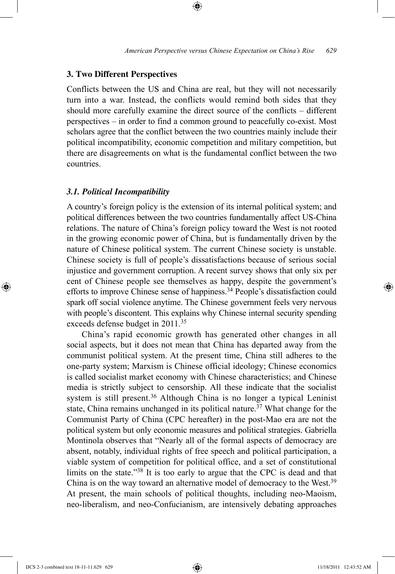## **3. Two Different Perspectives**

Conflicts between the US and China are real, but they will not necessarily turn into a war. Instead, the conflicts would remind both sides that they should more carefully examine the direct source of the conflicts – different perspectives – in order to find a common ground to peacefully co-exist. Most scholars agree that the conflict between the two countries mainly include their political incompatibility, economic competition and military competition, but there are disagreements on what is the fundamental conflict between the two countries.

⊕

#### *3.1. Political Incompatibility*

A country's foreign policy is the extension of its internal political system; and political differences between the two countries fundamentally affect US-China relations. The nature of China's foreign policy toward the West is not rooted in the growing economic power of China, but is fundamentally driven by the nature of Chinese political system. The current Chinese society is unstable. Chinese society is full of people's dissatisfactions because of serious social injustice and government corruption. A recent survey shows that only six per cent of Chinese people see themselves as happy, despite the government's efforts to improve Chinese sense of happiness.<sup>34</sup> People's dissatisfaction could spark off social violence anytime. The Chinese government feels very nervous with people's discontent. This explains why Chinese internal security spending exceeds defense budget in 2011.<sup>35</sup>

China's rapid economic growth has generated other changes in all social aspects, but it does not mean that China has departed away from the communist political system. At the present time, China still adheres to the one-party system; Marxism is Chinese official ideology; Chinese economics is called socialist market economy with Chinese characteristics; and Chinese media is strictly subject to censorship. All these indicate that the socialist system is still present.<sup>36</sup> Although China is no longer a typical Leninist state, China remains unchanged in its political nature.<sup>37</sup> What change for the Communist Party of China (CPC hereafter) in the post-Mao era are not the political system but only economic measures and political strategies. Gabriella Montinola observes that "Nearly all of the formal aspects of democracy are absent, notably, individual rights of free speech and political participation, a viable system of competition for political office, and a set of constitutional limits on the state."38 It is too early to argue that the CPC is dead and that China is on the way toward an alternative model of democracy to the West.<sup>39</sup> At present, the main schools of political thoughts, including neo-Maoism, neo-liberalism, and neo-Confucianism, are intensively debating approaches

⊕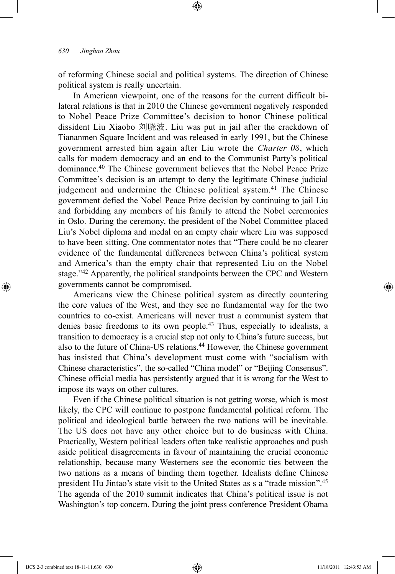of reforming Chinese social and political systems. The direction of Chinese political system is really uncertain.

⊕

In American viewpoint, one of the reasons for the current difficult bilateral relations is that in 2010 the Chinese government negatively responded to Nobel Peace Prize Committee's decision to honor Chinese political dissident Liu Xiaobo 刘晓波. Liu was put in jail after the crackdown of Tiananmen Square Incident and was released in early 1991, but the Chinese government arrested him again after Liu wrote the *Charter 08*, which calls for modern democracy and an end to the Communist Party's political dominance.40 The Chinese government believes that the Nobel Peace Prize Committee's decision is an attempt to deny the legitimate Chinese judicial judgement and undermine the Chinese political system.<sup>41</sup> The Chinese government defied the Nobel Peace Prize decision by continuing to jail Liu and forbidding any members of his family to attend the Nobel ceremonies in Oslo. During the ceremony, the president of the Nobel Committee placed Liu's Nobel diploma and medal on an empty chair where Liu was supposed to have been sitting. One commentator notes that "There could be no clearer evidence of the fundamental differences between China's political system and America's than the empty chair that represented Liu on the Nobel stage."<sup>42</sup> Apparently, the political standpoints between the CPC and Western governments cannot be compromised.

Americans view the Chinese political system as directly countering the core values of the West, and they see no fundamental way for the two countries to co-exist. Americans will never trust a communist system that denies basic freedoms to its own people.<sup>43</sup> Thus, especially to idealists, a transition to democracy is a crucial step not only to China's future success, but also to the future of China-US relations.<sup>44</sup> However, the Chinese government has insisted that China's development must come with "socialism with Chinese characteristics", the so-called "China model" or "Beijing Consensus". Chinese official media has persistently argued that it is wrong for the West to impose its ways on other cultures.

Even if the Chinese political situation is not getting worse, which is most likely, the CPC will continue to postpone fundamental political reform. The political and ideological battle between the two nations will be inevitable. The US does not have any other choice but to do business with China. Practically, Western political leaders often take realistic approaches and push aside political disagreements in favour of maintaining the crucial economic relationship, because many Westerners see the economic ties between the two nations as a means of binding them together. Idealists define Chinese president Hu Jintao's state visit to the United States as s a "trade mission".45 The agenda of the 2010 summit indicates that China's political issue is not Washington's top concern. During the joint press conference President Obama

⊕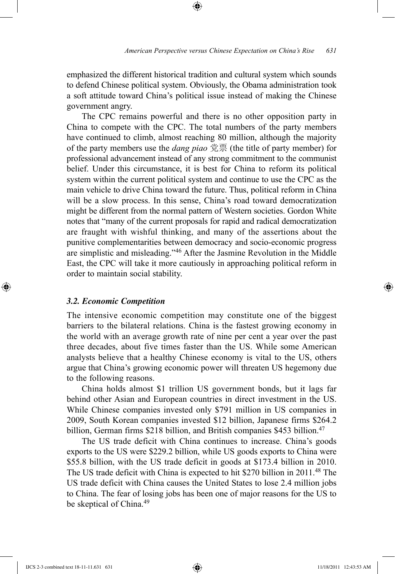emphasized the different historical tradition and cultural system which sounds to defend Chinese political system. Obviously, the Obama administration took a soft attitude toward China's political issue instead of making the Chinese government angry.

⊕

The CPC remains powerful and there is no other opposition party in China to compete with the CPC. The total numbers of the party members have continued to climb, almost reaching 80 million, although the majority of the party members use the *dang piao* 党票 (the title of party member) for professional advancement instead of any strong commitment to the communist belief. Under this circumstance, it is best for China to reform its political system within the current political system and continue to use the CPC as the main vehicle to drive China toward the future. Thus, political reform in China will be a slow process. In this sense, China's road toward democratization might be different from the normal pattern of Western societies. Gordon White notes that "many of the current proposals for rapid and radical democratization are fraught with wishful thinking, and many of the assertions about the punitive complementarities between democracy and socio-economic progress are simplistic and misleading."46 After the Jasmine Revolution in the Middle East, the CPC will take it more cautiously in approaching political reform in order to maintain social stability.

## *3.2. Economic Competition*

⊕

The intensive economic competition may constitute one of the biggest barriers to the bilateral relations. China is the fastest growing economy in the world with an average growth rate of nine per cent a year over the past three decades, about five times faster than the US. While some American analysts believe that a healthy Chinese economy is vital to the US, others argue that China's growing economic power will threaten US hegemony due to the following reasons.

China holds almost \$1 trillion US government bonds, but it lags far behind other Asian and European countries in direct investment in the US. While Chinese companies invested only \$791 million in US companies in 2009, South Korean companies invested \$12 billion, Japanese firms \$264.2 billion, German firms \$218 billion, and British companies \$453 billion.<sup>47</sup>

The US trade deficit with China continues to increase. China's goods exports to the US were \$229.2 billion, while US goods exports to China were \$55.8 billion, with the US trade deficit in goods at \$173.4 billion in 2010. The US trade deficit with China is expected to hit \$270 billion in 2011.48 The US trade deficit with China causes the United States to lose 2.4 million jobs to China. The fear of losing jobs has been one of major reasons for the US to be skeptical of China.<sup>49</sup>

IJCS 2-3 combined text 18-11-11.631 631 11/18/2011 12:43:53 AM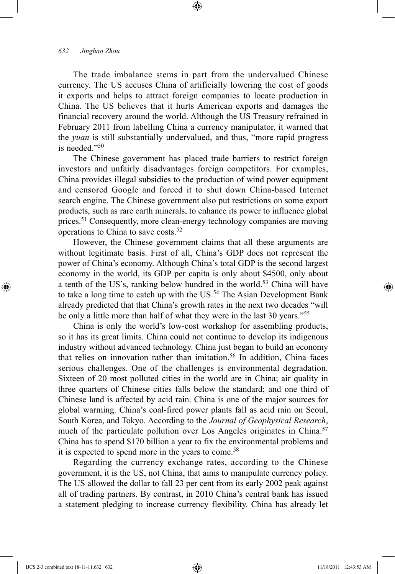#### *632 Jinghao Zhou*

The trade imbalance stems in part from the undervalued Chinese currency. The US accuses China of artificially lowering the cost of goods it exports and helps to attract foreign companies to locate production in China. The US believes that it hurts American exports and damages the financial recovery around the world. Although the US Treasury refrained in February 2011 from labelling China a currency manipulator, it warned that the *yuan* is still substantially undervalued, and thus, "more rapid progress is needed."50

⊕

The Chinese government has placed trade barriers to restrict foreign investors and unfairly disadvantages foreign competitors. For examples, China provides illegal subsidies to the production of wind power equipment and censored Google and forced it to shut down China-based Internet search engine. The Chinese government also put restrictions on some export products, such as rare earth minerals, to enhance its power to influence global prices.<sup>51</sup> Consequently, more clean-energy technology companies are moving operations to China to save costs.52

However, the Chinese government claims that all these arguments are without legitimate basis. First of all, China's GDP does not represent the power of China's economy. Although China's total GDP is the second largest economy in the world, its GDP per capita is only about \$4500, only about a tenth of the US's, ranking below hundred in the world.<sup>53</sup> China will have to take a long time to catch up with the US.<sup>54</sup> The Asian Development Bank already predicted that that China's growth rates in the next two decades "will be only a little more than half of what they were in the last 30 years."55

China is only the world's low-cost workshop for assembling products, so it has its great limits. China could not continue to develop its indigenous industry without advanced technology. China just began to build an economy that relies on innovation rather than imitation.<sup>56</sup> In addition, China faces serious challenges. One of the challenges is environmental degradation. Sixteen of 20 most polluted cities in the world are in China; air quality in three quarters of Chinese cities falls below the standard; and one third of Chinese land is affected by acid rain. China is one of the major sources for global warming. China's coal-fired power plants fall as acid rain on Seoul, South Korea, and Tokyo. According to the *Journal of Geophysical Research*, much of the particulate pollution over Los Angeles originates in China.<sup>57</sup> China has to spend \$170 billion a year to fix the environmental problems and it is expected to spend more in the years to come.<sup>58</sup>

Regarding the currency exchange rates, according to the Chinese government, it is the US, not China, that aims to manipulate currency policy. The US allowed the dollar to fall 23 per cent from its early 2002 peak against all of trading partners. By contrast, in 2010 China's central bank has issued a statement pledging to increase currency flexibility. China has already let

⊕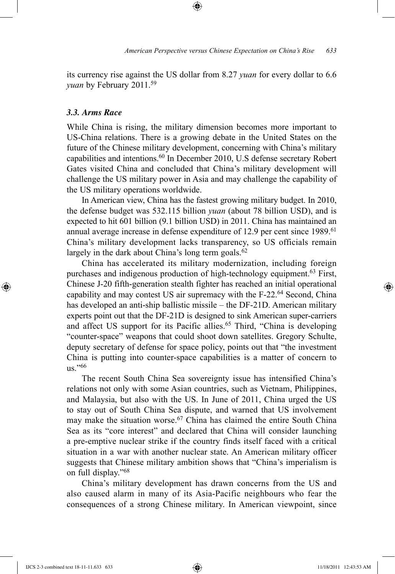its currency rise against the US dollar from 8.27 *yuan* for every dollar to 6.6 *yuan* by February 2011.59

⊕

#### *3.3. Arms Race*

While China is rising, the military dimension becomes more important to US-China relations. There is a growing debate in the United States on the future of the Chinese military development, concerning with China's military capabilities and intentions.<sup>60</sup> In December 2010, U.S defense secretary Robert Gates visited China and concluded that China's military development will challenge the US military power in Asia and may challenge the capability of the US military operations worldwide.

In American view, China has the fastest growing military budget. In 2010, the defense budget was 532.115 billion *yuan* (about 78 billion USD), and is expected to hit 601 billion (9.1 billion USD) in 2011. China has maintained an annual average increase in defense expenditure of 12.9 per cent since 1989.<sup>61</sup> China's military development lacks transparency, so US officials remain largely in the dark about China's long term goals.<sup>62</sup>

China has accelerated its military modernization, including foreign purchases and indigenous production of high-technology equipment.<sup>63</sup> First, Chinese J-20 fifth-generation stealth fighter has reached an initial operational capability and may contest US air supremacy with the F-22.64 Second, China has developed an anti-ship ballistic missile – the DF-21D. American military experts point out that the DF-21D is designed to sink American super-carriers and affect US support for its Pacific allies.<sup>65</sup> Third, "China is developing "counter-space" weapons that could shoot down satellites. Gregory Schulte, deputy secretary of defense for space policy, points out that "the investment China is putting into counter-space capabilities is a matter of concern to us $"$ <sup>66</sup>

The recent South China Sea sovereignty issue has intensified China's relations not only with some Asian countries, such as Vietnam, Philippines, and Malaysia, but also with the US. In June of 2011, China urged the US to stay out of South China Sea dispute, and warned that US involvement may make the situation worse.<sup>67</sup> China has claimed the entire South China Sea as its "core interest" and declared that China will consider launching a pre-emptive nuclear strike if the country finds itself faced with a critical situation in a war with another nuclear state. An American military officer suggests that Chinese military ambition shows that "China's imperialism is on full display."68

China's military development has drawn concerns from the US and also caused alarm in many of its Asia-Pacific neighbours who fear the consequences of a strong Chinese military. In American viewpoint, since

⊕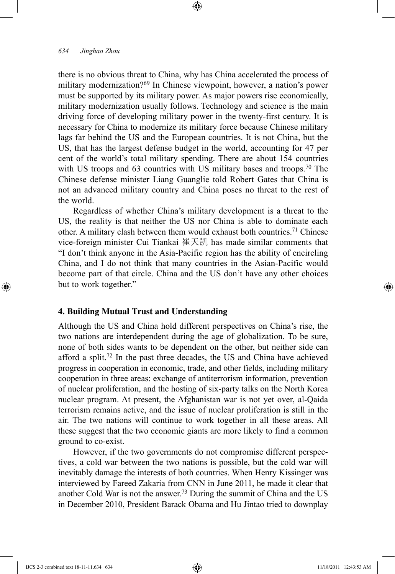there is no obvious threat to China, why has China accelerated the process of military modernization?<sup>69</sup> In Chinese viewpoint, however, a nation's power must be supported by its military power. As major powers rise economically, military modernization usually follows. Technology and science is the main driving force of developing military power in the twenty-first century. It is necessary for China to modernize its military force because Chinese military lags far behind the US and the European countries. It is not China, but the US, that has the largest defense budget in the world, accounting for 47 per cent of the world's total military spending. There are about 154 countries with US troops and 63 countries with US military bases and troops.<sup>70</sup> The Chinese defense minister Liang Guanglie told Robert Gates that China is not an advanced military country and China poses no threat to the rest of the world.

⊕

Regardless of whether China's military development is a threat to the US, the reality is that neither the US nor China is able to dominate each other. A military clash between them would exhaust both countries.71 Chinese vice-foreign minister Cui Tiankai 崔天凯 has made similar comments that "I don't think anyone in the Asia-Pacific region has the ability of encircling China, and I do not think that many countries in the Asian-Pacific would become part of that circle. China and the US don't have any other choices but to work together."

# **4. Building Mutual Trust and Understanding**

Although the US and China hold different perspectives on China's rise, the two nations are interdependent during the age of globalization. To be sure, none of both sides wants to be dependent on the other, but neither side can afford a split.72 In the past three decades, the US and China have achieved progress in cooperation in economic, trade, and other fields, including military cooperation in three areas: exchange of antiterrorism information, prevention of nuclear proliferation, and the hosting of six-party talks on the North Korea nuclear program. At present, the Afghanistan war is not yet over, al-Qaida terrorism remains active, and the issue of nuclear proliferation is still in the air. The two nations will continue to work together in all these areas. All these suggest that the two economic giants are more likely to find a common ground to co-exist.

However, if the two governments do not compromise different perspectives, a cold war between the two nations is possible, but the cold war will inevitably damage the interests of both countries. When Henry Kissinger was interviewed by Fareed Zakaria from CNN in June 2011, he made it clear that another Cold War is not the answer.73 During the summit of China and the US in December 2010, President Barack Obama and Hu Jintao tried to downplay

⊕

↔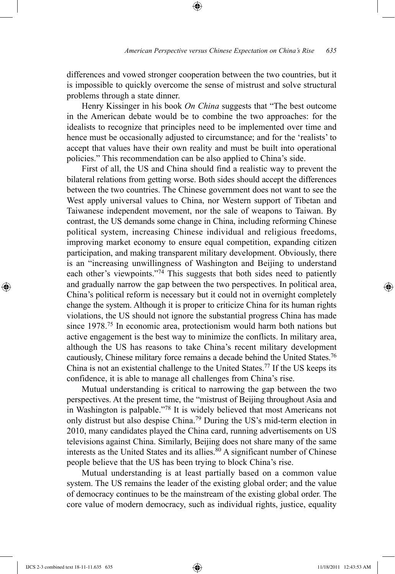differences and vowed stronger cooperation between the two countries, but it is impossible to quickly overcome the sense of mistrust and solve structural problems through a state dinner.

⊕

Henry Kissinger in his book *On China* suggests that "The best outcome in the American debate would be to combine the two approaches: for the idealists to recognize that principles need to be implemented over time and hence must be occasionally adjusted to circumstance; and for the 'realists' to accept that values have their own reality and must be built into operational policies." This recommendation can be also applied to China's side.

First of all, the US and China should find a realistic way to prevent the bilateral relations from getting worse. Both sides should accept the differences between the two countries. The Chinese government does not want to see the West apply universal values to China, nor Western support of Tibetan and Taiwanese independent movement, nor the sale of weapons to Taiwan. By contrast, the US demands some change in China, including reforming Chinese political system, increasing Chinese individual and religious freedoms, improving market economy to ensure equal competition, expanding citizen participation, and making transparent military development. Obviously, there is an "increasing unwillingness of Washington and Beijing to understand each other's viewpoints."<sup>74</sup> This suggests that both sides need to patiently and gradually narrow the gap between the two perspectives. In political area, China's political reform is necessary but it could not in overnight completely change the system. Although it is proper to criticize China for its human rights violations, the US should not ignore the substantial progress China has made since 1978.75 In economic area, protectionism would harm both nations but active engagement is the best way to minimize the conflicts. In military area, although the US has reasons to take China's recent military development cautiously, Chinese military force remains a decade behind the United States.76 China is not an existential challenge to the United States.77 If the US keeps its confidence, it is able to manage all challenges from China's rise.

Mutual understanding is critical to narrowing the gap between the two perspectives. At the present time, the "mistrust of Beijing throughout Asia and in Washington is palpable."78 It is widely believed that most Americans not only distrust but also despise China.79 During the US's mid-term election in 2010, many candidates played the China card, running advertisements on US televisions against China. Similarly, Beijing does not share many of the same interests as the United States and its allies.<sup>80</sup> A significant number of Chinese people believe that the US has been trying to block China's rise.

Mutual understanding is at least partially based on a common value system. The US remains the leader of the existing global order; and the value of democracy continues to be the mainstream of the existing global order. The core value of modern democracy, such as individual rights, justice, equality

IJCS 2-3 combined text 18-11-11.635 635 11/18/2011 12:43:53 AM

⊕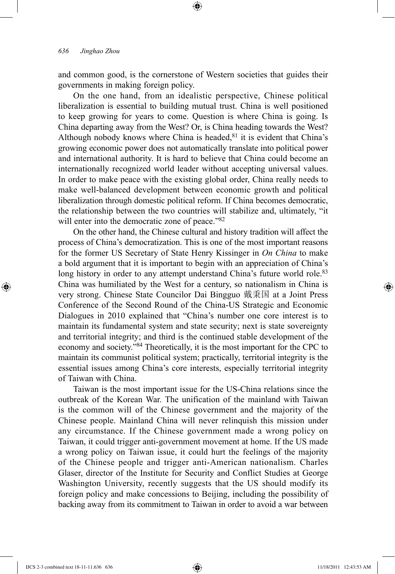and common good, is the cornerstone of Western societies that guides their governments in making foreign policy.

⊕

On the one hand, from an idealistic perspective, Chinese political liberalization is essential to building mutual trust. China is well positioned to keep growing for years to come. Question is where China is going. Is China departing away from the West? Or, is China heading towards the West? Although nobody knows where China is headed, $81$  it is evident that China's growing economic power does not automatically translate into political power and international authority. It is hard to believe that China could become an internationally recognized world leader without accepting universal values. In order to make peace with the existing global order, China really needs to make well-balanced development between economic growth and political liberalization through domestic political reform. If China becomes democratic, the relationship between the two countries will stabilize and, ultimately, "it will enter into the democratic zone of peace."<sup>82</sup>

On the other hand, the Chinese cultural and history tradition will affect the process of China's democratization. This is one of the most important reasons for the former US Secretary of State Henry Kissinger in *On China* to make a bold argument that it is important to begin with an appreciation of China's long history in order to any attempt understand China's future world role.<sup>83</sup> China was humiliated by the West for a century, so nationalism in China is very strong. Chinese State Councilor Dai Bingguo 戴秉国 at a Joint Press Conference of the Second Round of the China-US Strategic and Economic Dialogues in 2010 explained that "China's number one core interest is to maintain its fundamental system and state security; next is state sovereignty and territorial integrity; and third is the continued stable development of the economy and society."84 Theoretically, it is the most important for the CPC to maintain its communist political system; practically, territorial integrity is the essential issues among China's core interests, especially territorial integrity of Taiwan with China.

Taiwan is the most important issue for the US-China relations since the outbreak of the Korean War. The unification of the mainland with Taiwan is the common will of the Chinese government and the majority of the Chinese people. Mainland China will never relinquish this mission under any circumstance. If the Chinese government made a wrong policy on Taiwan, it could trigger anti-government movement at home. If the US made a wrong policy on Taiwan issue, it could hurt the feelings of the majority of the Chinese people and trigger anti-American nationalism. Charles Glaser, director of the Institute for Security and Conflict Studies at George Washington University, recently suggests that the US should modify its foreign policy and make concessions to Beijing, including the possibility of backing away from its commitment to Taiwan in order to avoid a war between

⊕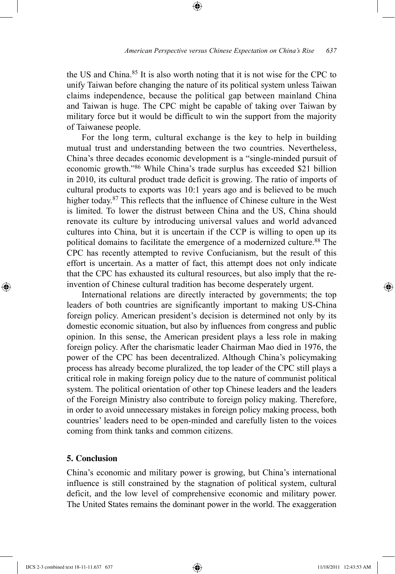the US and China.85 It is also worth noting that it is not wise for the CPC to unify Taiwan before changing the nature of its political system unless Taiwan claims independence, because the political gap between mainland China and Taiwan is huge. The CPC might be capable of taking over Taiwan by military force but it would be difficult to win the support from the majority of Taiwanese people.

⊕

For the long term, cultural exchange is the key to help in building mutual trust and understanding between the two countries. Nevertheless, China's three decades economic development is a "single-minded pursuit of economic growth."86 While China's trade surplus has exceeded \$21 billion in 2010, its cultural product trade deficit is growing. The ratio of imports of cultural products to exports was 10:1 years ago and is believed to be much higher today.87 This reflects that the influence of Chinese culture in the West is limited. To lower the distrust between China and the US, China should renovate its culture by introducing universal values and world advanced cultures into China, but it is uncertain if the CCP is willing to open up its political domains to facilitate the emergence of a modernized culture.<sup>88</sup> The CPC has recently attempted to revive Confucianism, but the result of this effort is uncertain. As a matter of fact, this attempt does not only indicate that the CPC has exhausted its cultural resources, but also imply that the reinvention of Chinese cultural tradition has become desperately urgent.

International relations are directly interacted by governments; the top leaders of both countries are significantly important to making US-China foreign policy. American president's decision is determined not only by its domestic economic situation, but also by influences from congress and public opinion. In this sense, the American president plays a less role in making foreign policy. After the charismatic leader Chairman Mao died in 1976, the power of the CPC has been decentralized. Although China's policymaking process has already become pluralized, the top leader of the CPC still plays a critical role in making foreign policy due to the nature of communist political system. The political orientation of other top Chinese leaders and the leaders of the Foreign Ministry also contribute to foreign policy making. Therefore, in order to avoid unnecessary mistakes in foreign policy making process, both countries' leaders need to be open-minded and carefully listen to the voices coming from think tanks and common citizens.

## **5. Conclusion**

China's economic and military power is growing, but China's international influence is still constrained by the stagnation of political system, cultural deficit, and the low level of comprehensive economic and military power. The United States remains the dominant power in the world. The exaggeration

⊕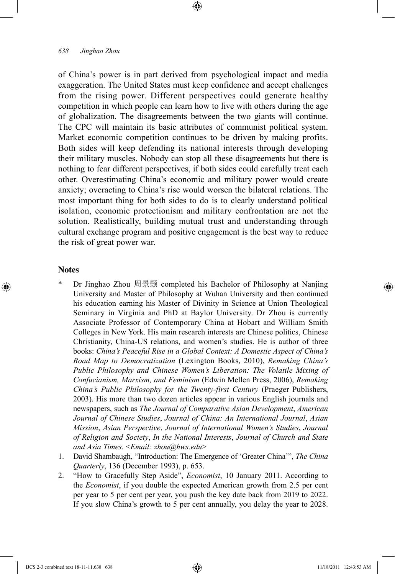#### *638 Jinghao Zhou*

of China's power is in part derived from psychological impact and media exaggeration. The United States must keep confidence and accept challenges from the rising power. Different perspectives could generate healthy competition in which people can learn how to live with others during the age of globalization. The disagreements between the two giants will continue. The CPC will maintain its basic attributes of communist political system. Market economic competition continues to be driven by making profits. Both sides will keep defending its national interests through developing their military muscles. Nobody can stop all these disagreements but there is nothing to fear different perspectives, if both sides could carefully treat each other. Overestimating China's economic and military power would create anxiety; overacting to China's rise would worsen the bilateral relations. The most important thing for both sides to do is to clearly understand political isolation, economic protectionism and military confrontation are not the solution. Realistically, building mutual trust and understanding through cultural exchange program and positive engagement is the best way to reduce the risk of great power war.

⊕

#### **Notes**

⊕

- Dr Jinghao Zhou 周景颢 completed his Bachelor of Philosophy at Nanjing University and Master of Philosophy at Wuhan University and then continued his education earning his Master of Divinity in Science at Union Theological Seminary in Virginia and PhD at Baylor University. Dr Zhou is currently Associate Professor of Contemporary China at Hobart and William Smith Colleges in New York. His main research interests are Chinese politics, Chinese Christianity, China-US relations, and women's studies. He is author of three books: *China's Peaceful Rise in a Global Context: A Domestic Aspect of China's Road Map to Democratization* (Lexington Books, 2010), *Remaking China's Public Philosophy and Chinese Women's Liberation: The Volatile Mixing of Confucianism, Marxism, and Feminism* (Edwin Mellen Press, 2006), *Remaking China's Public Philosophy for the Twenty-first Century* (Praeger Publishers, 2003). His more than two dozen articles appear in various English journals and newspapers, such as *The Journal of Comparative Asian Development*, *American Journal of Chinese Studies*, *Journal of China: An International Journal*, *Asian Mission*, *Asian Perspective*, *Journal of International Women's Studies*, *Journal of Religion and Society*, *In the National Interests*, *Journal of Church and State and Asia Times*. <*Email: zhou@hws.edu*>
- 1. David Shambaugh, "Introduction: The Emergence of 'Greater China'", *The China Quarterly*, 136 (December 1993), p. 653.
- 2. "How to Gracefully Step Aside", *Economist*, 10 January 2011. According to the *Economist*, if you double the expected American growth from 2.5 per cent per year to 5 per cent per year, you push the key date back from 2019 to 2022. If you slow China's growth to 5 per cent annually, you delay the year to 2028.

IJCS 2-3 combined text 18-11-11.638 638 11/18/2011 12:43:53 AM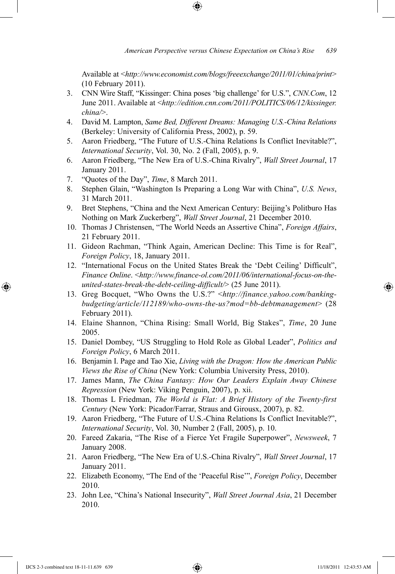Available at <*http://www.economist.com/blogs/freeexchange/2011/01/china/print*> (10 February 2011).

3. CNN Wire Staff, "Kissinger: China poses 'big challenge' for U.S.", *CNN.Com*, 12 June 2011. Available at <*http://edition.cnn.com/2011/POLITICS/06/12/kissinger. china/*>.

⊕

- 4. David M. Lampton, *Same Bed, Different Dreams: Managing U.S.-China Relations* (Berkeley: University of California Press, 2002), p. 59.
- 5. Aaron Friedberg, "The Future of U.S.-China Relations Is Conflict Inevitable?", *International Security*, Vol. 30, No. 2 (Fall, 2005), p. 9.
- 6. Aaron Friedberg, "The New Era of U.S.-China Rivalry", *Wall Street Journal*, 17 January 2011.
- 7. "Quotes of the Day", *Time*, 8 March 2011.
- 8. Stephen Glain, "Washington Is Preparing a Long War with China", *U.S. News*, 31 March 2011.
- 9. Bret Stephens, "China and the Next American Century: Beijing's Politburo Has Nothing on Mark Zuckerberg", *Wall Street Journal*, 21 December 2010.
- 10. Thomas J Christensen, "The World Needs an Assertive China", *Foreign Affairs*, 21 February 2011.
- 11. Gideon Rachman, "Think Again, American Decline: This Time is for Real", *Foreign Policy*, 18, January 2011.
- 12. "International Focus on the United States Break the 'Debt Ceiling' Difficult", *Finance Online*. <*http://www.finance-ol.com/2011/06/international-focus-on-theunited-states-break-the-debt-ceiling-difficult/*> (25 June 2011).
- 13. Greg Bocquet, "Who Owns the U.S.?" <*http://finance.yahoo.com/bankingbudgeting/article/112189/who-owns-the-us?mod=bb-debtmanagement*> (28 February 2011).
- 14. Elaine Shannon, "China Rising: Small World, Big Stakes", *Time*, 20 June 2005.
- 15. Daniel Dombey, "US Struggling to Hold Role as Global Leader", *Politics and Foreign Policy*, 6 March 2011.
- 16. Benjamin I. Page and Tao Xie, *Living with the Dragon: How the American Public Views the Rise of China* (New York: Columbia University Press, 2010).
- 17. James Mann, *The China Fantasy: How Our Leaders Explain Away Chinese Repression* (New York: Viking Penguin, 2007), p. xii.
- 18. Thomas L Friedman, *The World is Flat: A Brief History of the Twenty-first Century* (New York: Picador/Farrar, Straus and Girousx, 2007), p. 82.
- 19. Aaron Friedberg, "The Future of U.S.-China Relations Is Conflict Inevitable?", *International Security*, Vol. 30, Number 2 (Fall, 2005), p. 10.
- 20. Fareed Zakaria, "The Rise of a Fierce Yet Fragile Superpower", *Newsweek*, 7 January 2008.
- 21. Aaron Friedberg, "The New Era of U.S.-China Rivalry", *Wall Street Journal*, 17 January 2011.
- 22. Elizabeth Economy, "The End of the 'Peaceful Rise'", *Foreign Policy*, December 2010.
- 23. John Lee, "China's National Insecurity", *Wall Street Journal Asia*, 21 December 2010.

IJCS 2-3 combined text 18-11-11.639 639 11/18/2011 12:43:53 AM

⊕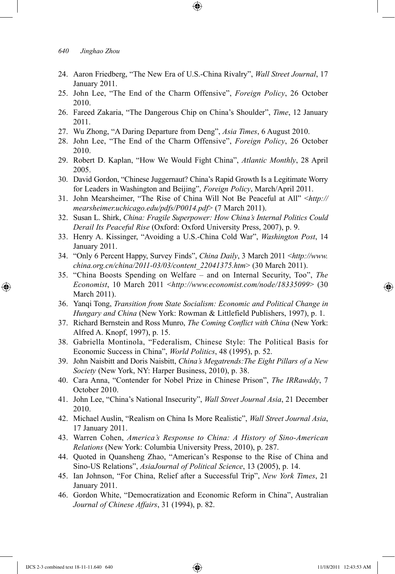24. Aaron Friedberg, "The New Era of U.S.-China Rivalry", *Wall Street Journal*, 17 January 2011.

⊕

- 25. John Lee, "The End of the Charm Offensive", *Foreign Policy*, 26 October 2010.
- 26. Fareed Zakaria, "The Dangerous Chip on China's Shoulder", *Time*, 12 January 2011.
- 27. Wu Zhong, "A Daring Departure from Deng", *Asia Times*, 6 August 2010.
- 28. John Lee, "The End of the Charm Offensive", *Foreign Policy*, 26 October 2010.
- 29. Robert D. Kaplan, "How We Would Fight China", *Atlantic Monthly*, 28 April 2005.
- 30. David Gordon, "Chinese Juggernaut? China's Rapid Growth Is a Legitimate Worry for Leaders in Washington and Beijing", *Foreign Policy*, March/April 2011.
- 31. John Mearsheimer, "The Rise of China Will Not Be Peaceful at All" <*http:// mearsheimer.uchicago.edu/pdfs/P0014.pdf*> (7 March 2011).
- 32. Susan L. Shirk, *China: Fragile Superpower: How China's Internal Politics Could Derail Its Peaceful Rise* (Oxford: Oxford University Press, 2007), p. 9.
- 33. Henry A. Kissinger, "Avoiding a U.S.-China Cold War", *Washington Post*, 14 January 2011.
- 34. "Only 6 Percent Happy, Survey Finds", *China Daily*, 3 March 2011 <*http://www. china.org.cn/china/2011-03/03/content\_22041375.htm*> (30 March 2011).
- 35. "China Boosts Spending on Welfare and on Internal Security, Too", *The Economist*, 10 March 2011 <*http://www.economist.com/node/18335099*> (30 March 2011).
- 36. Yanqi Tong, *Transition from State Socialism: Economic and Political Change in Hungary and China* (New York: Rowman & Littlefield Publishers, 1997), p. 1.
- 37. Richard Bernstein and Ross Munro, *The Coming Conflict with China* (New York: Alfred A. Knopf, 1997), p. 15.
- 38. Gabriella Montinola, "Federalism, Chinese Style: The Political Basis for Economic Success in China", *World Politics*, 48 (1995), p. 52.
- 39. John Naisbitt and Doris Naisbitt, *China's Megatrends:The Eight Pillars of a New Society* (New York, NY: Harper Business, 2010), p. 38.
- 40. Cara Anna, "Contender for Nobel Prize in Chinese Prison", *The IRRawddy*, 7 October 2010.
- 41. John Lee, "China's National Insecurity", *Wall Street Journal Asia*, 21 December 2010.
- 42. Michael Auslin, "Realism on China Is More Realistic", *Wall Street Journal Asia*, 17 January 2011.
- 43. Warren Cohen, *America's Response to China: A History of Sino-American Relations* (New York: Columbia University Press, 2010), p. 287.
- 44. Quoted in Quansheng Zhao, "American's Response to the Rise of China and Sino-US Relations", *AsiaJournal of Political Science*, 13 (2005), p. 14.
- 45. Ian Johnson, "For China, Relief after a Successful Trip", *New York Times*, 21 January 2011.
- 46. Gordon White, "Democratization and Economic Reform in China", Australian *Journal of Chinese Affairs*, 31 (1994), p. 82.

⊕

↔

*<sup>640</sup> Jinghao Zhou*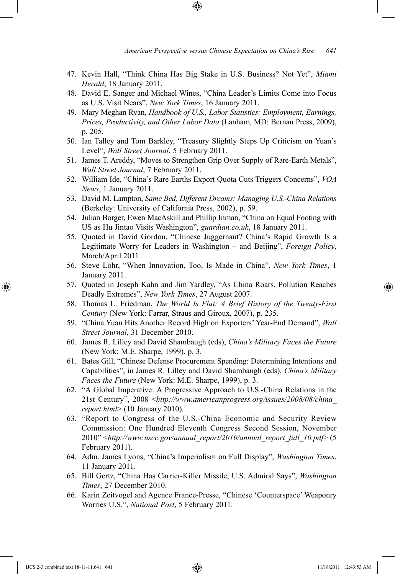47. Kevin Hall, "Think China Has Big Stake in U.S. Business? Not Yet", *Miami Herald*, 18 January 2011.

⊕

- 48. David E. Sanger and Michael Wines, "China Leader's Limits Come into Focus as U.S. Visit Nears", *New York Times*, 16 January 2011.
- 49. Mary Meghan Ryan, *Handbook of U.S., Labor Statistics: Employment, Earnings, Prices, Productivity, and Other Labor Data* (Lanham, MD: Bernan Press, 2009), p. 205.
- 50. Ian Talley and Tom Barkley, "Treasury Slightly Steps Up Criticism on Yuan's Level", *Wall Street Journal*, 5 February 2011.
- 51. James T. Areddy, "Moves to Strengthen Grip Over Supply of Rare-Earth Metals", *Wall Street Journal*, 7 February 2011.
- 52. William Ide, "China's Rare Earths Export Quota Cuts Triggers Concerns", *VOA News*, 1 January 2011.
- 53. David M. Lampton, *Same Bed, Different Dreams: Managing U.S.-China Relations* (Berkeley: University of California Press, 2002), p. 59.
- 54. Julian Borger, Ewen MacAskill and Phillip Inman, "China on Equal Footing with US as Hu Jintao Visits Washington", *guardian.co.uk*, 18 January 2011.
- 55. Quoted in David Gordon, "Chinese Juggernaut? China's Rapid Growth Is a Legitimate Worry for Leaders in Washington – and Beijing", *Foreign Policy*, March/April 2011.
- 56. Steve Lohr, "When Innovation, Too, Is Made in China", *New York Times*, 1 January 2011.
- 57. Quoted in Joseph Kahn and Jim Yardley, "As China Roars, Pollution Reaches Deadly Extremes", *New York Times*, 27 August 2007.
- 58. Thomas L. Friedman, *The World Is Flat: A Brief History of the Twenty-First Century* (New York: Farrar, Straus and Giroux, 2007), p. 235.
- 59. "China Yuan Hits Another Record High on Exporters' Year-End Demand", *Wall Street Journal*, 31 December 2010.
- 60. James R. Lilley and David Shambaugh (eds), *China's Military Faces the Future* (New York: M.E. Sharpe, 1999), p. 3.
- 61. Bates Gill, "Chinese Defense Procurement Spending: Determining Intentions and Capabilities", in James R. Lilley and David Shambaugh (eds), *China's Military Faces the Future* (New York: M.E. Sharpe, 1999), p. 3.
- 62. "A Global Imperative: A Progressive Approach to U.S.-China Relations in the 21st Century", 2008 <*http://www.americanprogress.org/issues/2008/08/china\_ report.html*> (10 January 2010).
- 63. "Report to Congress of the U.S.-China Economic and Security Review Commission: One Hundred Eleventh Congress Second Session, November 2010" <*http://www.uscc.gov/annual\_report/2010/annual\_report\_full\_10.pdf*> (5 February 2011).
- 64. Adm. James Lyons, "China's Imperialism on Full Display", *Washington Times*, 11 January 2011.
- 65. Bill Gertz, "China Has Carrier-Killer Missile, U.S. Admiral Says", *Washington Times*, 27 December 2010.
- 66. Karin Zeitvogel and Agence France-Presse, "Chinese 'Counterspace' Weaponry Worries U.S.", *National Post*, 5 February 2011.

IJCS 2-3 combined text 18-11-11.641 641 11/18/2011 12:43:53 AM

⊕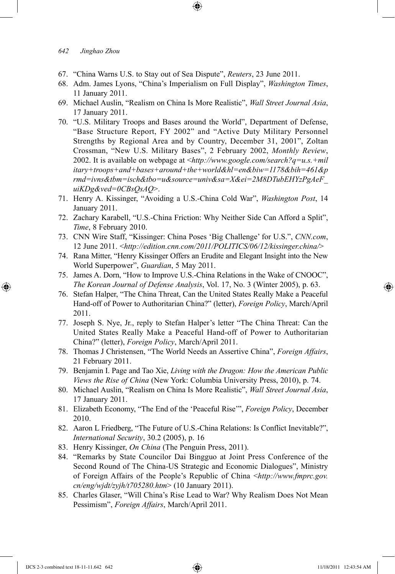## *642 Jinghao Zhou*

- 67. "China Warns U.S. to Stay out of Sea Dispute", *Reuters*, 23 June 2011.
- 68. Adm. James Lyons, "China's Imperialism on Full Display", *Washington Times*, 11 January 2011.

⊕

- 69. Michael Auslin, "Realism on China Is More Realistic", *Wall Street Journal Asia*, 17 January 2011.
- 70. "U.S. Military Troops and Bases around the World", Department of Defense, "Base Structure Report, FY 2002" and "Active Duty Military Personnel Strengths by Regional Area and by Country, December 31, 2001", Zoltan Crossman, "New U.S. Military Bases", 2 February 2002, *Monthly Review*, 2002. It is available on webpage at <*http://www.google.com/search?q=u.s.+mil itary+troops+and+bases+around+the+world&hl=en&biw=1178&bih=461&p rmd=ivns&tbm=isch&tbo=u&source=univ&sa=X&ei=2M8DTubEHYzPgAeF\_ uiKDg&ved=0CBsQsAQ*>.
- 71. Henry A. Kissinger, "Avoiding a U.S.-China Cold War", *Washington Post*, 14 January 2011.
- 72. Zachary Karabell, "U.S.-China Friction: Why Neither Side Can Afford a Split", *Time*, 8 February 2010.
- 73. CNN Wire Staff, "Kissinger: China Poses 'Big Challenge' for U.S.", *CNN.com*, 12 June 2011. <*http://edition.cnn.com/2011/POLITICS/06/12/kissinger.china/*>
- 74. Rana Mitter, "Henry Kissinger Offers an Erudite and Elegant Insight into the New World Superpower", *Guardian*, 5 May 2011.
- 75. James A. Dorn, "How to Improve U.S.-China Relations in the Wake of CNOOC", *The Korean Journal of Defense Analysis*, Vol. 17, No. 3 (Winter 2005), p. 63.
- 76. Stefan Halper, "The China Threat, Can the United States Really Make a Peaceful Hand-off of Power to Authoritarian China?" (letter), *Foreign Policy*, March/April 2011.
- 77. Joseph S. Nye, Jr., reply to Stefan Halper's letter "The China Threat: Can the United States Really Make a Peaceful Hand-off of Power to Authoritarian China?" (letter), *Foreign Policy*, March/April 2011.
- 78. Thomas J Christensen, "The World Needs an Assertive China", *Foreign Affairs*, 21 February 2011.
- 79. Benjamin I. Page and Tao Xie, *Living with the Dragon: How the American Public Views the Rise of China* (New York: Columbia University Press, 2010), p. 74.
- 80. Michael Auslin, "Realism on China Is More Realistic", *Wall Street Journal Asia*, 17 January 2011.
- 81. Elizabeth Economy, "The End of the 'Peaceful Rise"", *Foreign Policy*, December 2010.
- 82. Aaron L Friedberg, "The Future of U.S.-China Relations: Is Conflict Inevitable?", *International Security*, 30.2 (2005), p. 16
- 83. Henry Kissinger, *On China* (The Penguin Press, 2011).
- 84. "Remarks by State Councilor Dai Bingguo at Joint Press Conference of the Second Round of The China-US Strategic and Economic Dialogues", Ministry of Foreign Affairs of the People's Republic of China <*http://www.fmprc.gov. cn/eng/wjdt/zyjh/t705280.htm*> (10 January 2011).
- 85. Charles Glaser, "Will China's Rise Lead to War? Why Realism Does Not Mean Pessimism", *Foreign Affairs*, March/April 2011.

⊕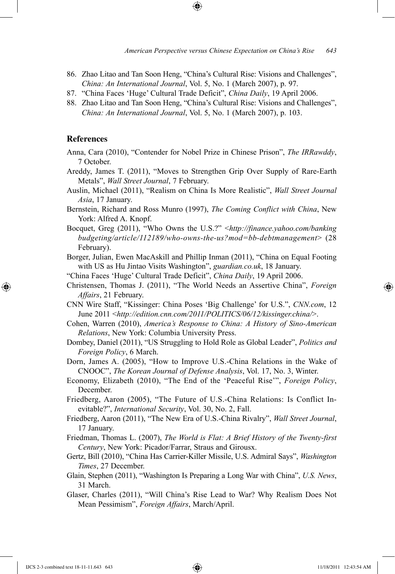- 86. Zhao Litao and Tan Soon Heng, "China's Cultural Rise: Visions and Challenges", *China: An International Journal*, Vol. 5, No. 1 (March 2007), p. 97.
- 87. "China Faces 'Huge' Cultural Trade Deficit", *China Daily*, 19 April 2006.
- 88. Zhao Litao and Tan Soon Heng, "China's Cultural Rise: Visions and Challenges", *China: An International Journal*, Vol. 5, No. 1 (March 2007), p. 103.

#### **References**

⊕

- Anna, Cara (2010), "Contender for Nobel Prize in Chinese Prison", *The IRRawddy*, 7 October.
- Areddy, James T. (2011), "Moves to Strengthen Grip Over Supply of Rare-Earth Metals", *Wall Street Journal*, 7 February.
- Auslin, Michael (2011), "Realism on China Is More Realistic", *Wall Street Journal Asia*, 17 January.
- Bernstein, Richard and Ross Munro (1997), *The Coming Conflict with China*, New York: Alfred A. Knopf.
- Bocquet, Greg (2011), "Who Owns the U.S.?" <*http://finance.yahoo.com/banking budgeting/article/112189/who-owns-the-us?mod=bb-debtmanagement*> (28 February).

Borger, Julian, Ewen MacAskill and Phillip Inman (2011), "China on Equal Footing with US as Hu Jintao Visits Washington", *guardian.co.uk*, 18 January.

"China Faces 'Huge' Cultural Trade Deficit", *China Daily*, 19 April 2006.

- Christensen, Thomas J. (2011), "The World Needs an Assertive China", *Foreign Affairs*, 21 February.
- CNN Wire Staff, "Kissinger: China Poses 'Big Challenge' for U.S.", *CNN.com*, 12 June 2011 <*http://edition.cnn.com/2011/POLITICS/06/12/kissinger.china/*>.

Cohen, Warren (2010), *America's Response to China: A History of Sino-American Relations*, New York: Columbia University Press.

Dombey, Daniel (2011), "US Struggling to Hold Role as Global Leader", *Politics and Foreign Policy*, 6 March.

Dorn, James A. (2005), "How to Improve U.S.-China Relations in the Wake of CNOOC", *The Korean Journal of Defense Analysis*, Vol. 17, No. 3, Winter.

- Economy, Elizabeth (2010), "The End of the 'Peaceful Rise'", *Foreign Policy*, December.
- Friedberg, Aaron (2005), "The Future of U.S.-China Relations: Is Conflict Inevitable?", *International Security*, Vol. 30, No. 2, Fall.
- Friedberg, Aaron (2011), "The New Era of U.S.-China Rivalry", *Wall Street Journal*, 17 January.

Friedman, Thomas L. (2007), *The World is Flat: A Brief History of the Twenty-first Century*, New York: Picador/Farrar, Straus and Girousx.

- Gertz, Bill (2010), "China Has Carrier-Killer Missile, U.S. Admiral Says", *Washington Times*, 27 December.
- Glain, Stephen (2011), "Washington Is Preparing a Long War with China", *U.S. News*, 31 March.
- Glaser, Charles (2011), "Will China's Rise Lead to War? Why Realism Does Not Mean Pessimism", *Foreign Affairs*, March/April.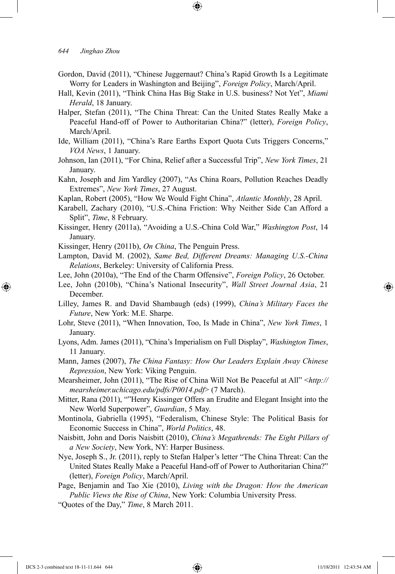*644 Jinghao Zhou* 

Gordon, David (2011), "Chinese Juggernaut? China's Rapid Growth Is a Legitimate Worry for Leaders in Washington and Beijing", *Foreign Policy*, March/April.

↔

- Hall, Kevin (2011), "Think China Has Big Stake in U.S. business? Not Yet", *Miami Herald*, 18 January.
- Halper, Stefan (2011), "The China Threat: Can the United States Really Make a Peaceful Hand-off of Power to Authoritarian China?" (letter), *Foreign Policy*, March/April.
- Ide, William (2011), "China's Rare Earths Export Quota Cuts Triggers Concerns," *VOA News*, 1 January.
- Johnson, Ian (2011), "For China, Relief after a Successful Trip", *New York Times*, 21 January.
- Kahn, Joseph and Jim Yardley (2007), "As China Roars, Pollution Reaches Deadly Extremes", *New York Times*, 27 August.
- Kaplan, Robert (2005), "How We Would Fight China", *Atlantic Monthly*, 28 April.
- Karabell, Zachary (2010), "U.S.-China Friction: Why Neither Side Can Afford a Split", *Time*, 8 February.
- Kissinger, Henry (2011a), "Avoiding a U.S.-China Cold War," *Washington Post*, 14 January.
- Kissinger, Henry (2011b), *On China*, The Penguin Press.
- Lampton, David M. (2002), *Same Bed, Different Dreams: Managing U.S.-China Relations*, Berkeley: University of California Press.
- Lee, John (2010a), "The End of the Charm Offensive", *Foreign Policy*, 26 October.
- Lee, John (2010b), "China's National Insecurity", *Wall Street Journal Asia*, 21 December.
- Lilley, James R. and David Shambaugh (eds) (1999), *China's Military Faces the Future*, New York: M.E. Sharpe.
- Lohr, Steve (2011), "When Innovation, Too, Is Made in China", *New York Times*, 1 January.
- Lyons, Adm. James (2011), "China's Imperialism on Full Display", *Washington Times*, 11 January.

Mann, James (2007), *The China Fantasy: How Our Leaders Explain Away Chinese Repression*, New York: Viking Penguin.

- Mearsheimer, John (2011), "The Rise of China Will Not Be Peaceful at All" <*http:// mearsheimer.uchicago.edu/pdfs/P0014.pdf*> (7 March).
- Mitter, Rana (2011), ""Henry Kissinger Offers an Erudite and Elegant Insight into the New World Superpower", *Guardian*, 5 May.
- Montinola, Gabriella (1995), "Federalism, Chinese Style: The Political Basis for Economic Success in China", *World Politics*, 48.
- Naisbitt, John and Doris Naisbitt (2010), *China's Megathrends: The Eight Pillars of a New Society*, New York, NY: Harper Business.
- Nye, Joseph S., Jr. (2011), reply to Stefan Halper's letter "The China Threat: Can the United States Really Make a Peaceful Hand-off of Power to Authoritarian China?" (letter), *Foreign Policy*, March/April.
- Page, Benjamin and Tao Xie (2010), *Living with the Dragon: How the American Public Views the Rise of China*, New York: Columbia University Press.
- "Quotes of the Day," *Time*, 8 March 2011.

IJCS 2-3 combined text 18-11-11.644 644 11/18/2011 12:43:54 AM

⊕

↔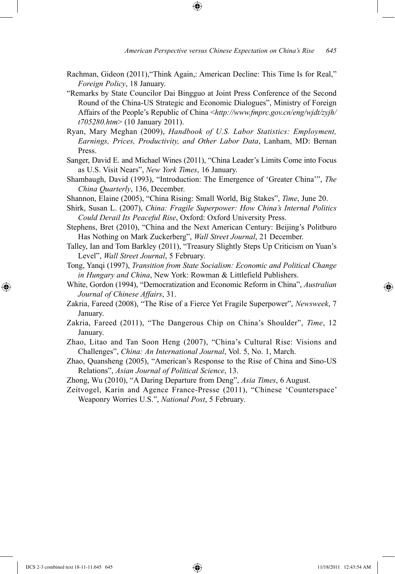- Rachman, Gideon (2011),"Think Again,: American Decline: This Time Is for Real," *Foreign Policy*, 18 January.
- "Remarks by State Councilor Dai Bingguo at Joint Press Conference of the Second Round of the China-US Strategic and Economic Dialogues", Ministry of Foreign Affairs of the People's Republic of China <*http://www.fmprc.gov.cn/eng/wjdt/zyjh/ t705280.htm*> (10 January 2011).
- Ryan, Mary Meghan (2009), *Handbook of U.S. Labor Statistics: Employment, Earnings, Prices, Productivity, and Other Labor Data*, Lanham, MD: Bernan Press.
- Sanger, David E. and Michael Wines (2011), "China Leader's Limits Come into Focus as U.S. Visit Nears", *New York Times*, 16 January.
- Shambaugh, David (1993), "Introduction: The Emergence of 'Greater China'", *The China Quarterly*, 136, December.
- Shannon, Elaine (2005), "China Rising: Small World, Big Stakes", *Time*, June 20.
- Shirk, Susan L. (2007), *China: Fragile Superpower: How China's Internal Politics Could Derail Its Peaceful Rise*, Oxford: Oxford University Press.
- Stephens, Bret (2010), "China and the Next American Century: Beijing's Politburo Has Nothing on Mark Zuckerberg", *Wall Street Journal*, 21 December.
- Talley, Ian and Tom Barkley (2011), "Treasury Slightly Steps Up Criticism on Yuan's Level", *Wall Street Journal*, 5 February.
- Tong, Yanqi (1997), *Transition from State Socialism: Economic and Political Change in Hungary and China*, New York: Rowman & Littlefield Publishers.
- White, Gordon (1994), "Democratization and Economic Reform in China", *Australian Journal of Chinese Affairs*, 31.
- Zakria, Fareed (2008), "The Rise of a Fierce Yet Fragile Superpower", *Newsweek*, 7 January.
- Zakria, Fareed (2011), "The Dangerous Chip on China's Shoulder", *Time*, 12 January.
- Zhao, Litao and Tan Soon Heng (2007), "China's Cultural Rise: Visions and Challenges", *China: An International Journal*, Vol. 5, No. 1, March.
- Zhao, Quansheng (2005), "American's Response to the Rise of China and Sino-US Relations", *Asian Journal of Political Science*, 13.
- Zhong, Wu (2010), "A Daring Departure from Deng", *Asia Times*, 6 August.
- Zeitvogel, Karin and Agence France-Presse (2011), "Chinese 'Counterspace' Weaponry Worries U.S.", *National Post*, 5 February.

⊕